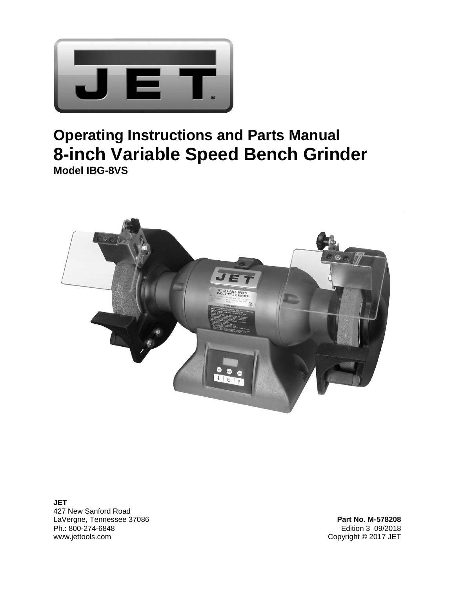

# **Operating Instructions and Parts Manual 8-inch Variable Speed Bench Grinder Model IBG-8VS**



**JET**  427 New Sanford Road LaVergne, Tennessee 37086 **Part No. M-578208** Ph.: 800-274-6848 Edition 3 09/2018

Copyright © 2017 JET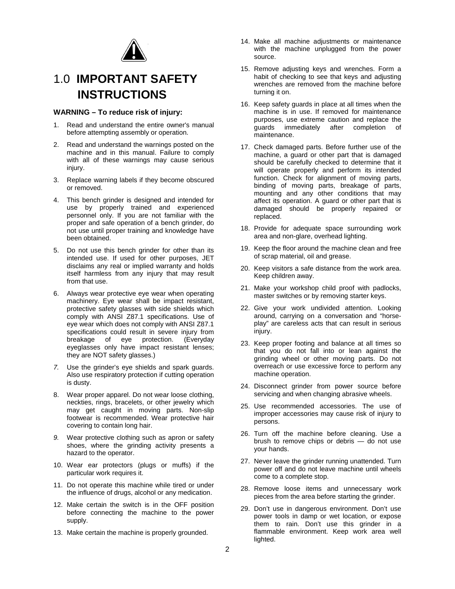

# 1.0 **IMPORTANT SAFETY INSTRUCTIONS**

#### **WARNING – To reduce risk of injury:**

- 1. Read and understand the entire owner's manual before attempting assembly or operation.
- 2. Read and understand the warnings posted on the machine and in this manual. Failure to comply with all of these warnings may cause serious injury.
- 3. Replace warning labels if they become obscured or removed.
- 4. This bench grinder is designed and intended for use by properly trained and experienced personnel only. If you are not familiar with the proper and safe operation of a bench grinder, do not use until proper training and knowledge have been obtained.
- 5. Do not use this bench grinder for other than its intended use. If used for other purposes, JET disclaims any real or implied warranty and holds itself harmless from any injury that may result from that use.
- 6. Always wear protective eye wear when operating machinery. Eye wear shall be impact resistant, protective safety glasses with side shields which comply with ANSI Z87.1 specifications. Use of eye wear which does not comply with ANSI Z87.1 specifications could result in severe injury from breakage of eye protection. (Everyday eyeglasses only have impact resistant lenses; they are NOT safety glasses.)
- *7.* Use the grinder's eye shields and spark guards. Also use respiratory protection if cutting operation is dusty.
- 8. Wear proper apparel. Do not wear loose clothing, neckties, rings, bracelets, or other jewelry which may get caught in moving parts. Non-slip footwear is recommended. Wear protective hair covering to contain long hair.
- *9.* Wear protective clothing such as apron or safety shoes, where the grinding activity presents a hazard to the operator.
- 10. Wear ear protectors (plugs or muffs) if the particular work requires it.
- 11. Do not operate this machine while tired or under the influence of drugs, alcohol or any medication.
- 12. Make certain the switch is in the OFF position before connecting the machine to the power supply.
- 13. Make certain the machine is properly grounded.
- 14. Make all machine adjustments or maintenance with the machine unplugged from the power source.
- 15. Remove adjusting keys and wrenches. Form a habit of checking to see that keys and adjusting wrenches are removed from the machine before turning it on.
- 16. Keep safety guards in place at all times when the machine is in use. If removed for maintenance purposes, use extreme caution and replace the guards immediately after completion of maintenance.
- 17. Check damaged parts. Before further use of the machine, a guard or other part that is damaged should be carefully checked to determine that it will operate properly and perform its intended function. Check for alignment of moving parts, binding of moving parts, breakage of parts, mounting and any other conditions that may affect its operation. A guard or other part that is damaged should be properly repaired or replaced.
- 18. Provide for adequate space surrounding work area and non-glare, overhead lighting.
- 19. Keep the floor around the machine clean and free of scrap material, oil and grease.
- 20. Keep visitors a safe distance from the work area. Keep children away.
- 21. Make your workshop child proof with padlocks, master switches or by removing starter keys.
- 22. Give your work undivided attention. Looking around, carrying on a conversation and "horseplay" are careless acts that can result in serious injury.
- 23. Keep proper footing and balance at all times so that you do not fall into or lean against the grinding wheel or other moving parts. Do not overreach or use excessive force to perform any machine operation.
- 24. Disconnect grinder from power source before servicing and when changing abrasive wheels.
- 25. Use recommended accessories. The use of improper accessories may cause risk of injury to persons.
- 26. Turn off the machine before cleaning. Use a brush to remove chips or debris — do not use your hands.
- 27. Never leave the grinder running unattended. Turn power off and do not leave machine until wheels come to a complete stop.
- 28. Remove loose items and unnecessary work pieces from the area before starting the grinder.
- 29. Don't use in dangerous environment. Don't use power tools in damp or wet location, or expose them to rain. Don't use this grinder in a flammable environment. Keep work area well lighted.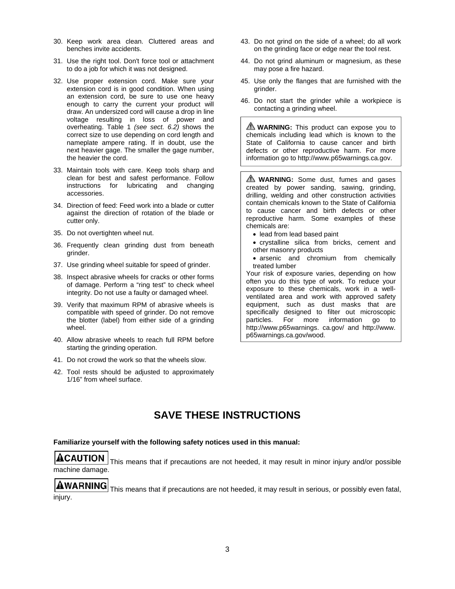- 30. Keep work area clean. Cluttered areas and benches invite accidents.
- 31. Use the right tool. Don't force tool or attachment to do a job for which it was not designed.
- 32. Use proper extension cord. Make sure your extension cord is in good condition. When using an extension cord, be sure to use one heavy enough to carry the current your product will draw. An undersized cord will cause a drop in line voltage resulting in loss of power and overheating. Table 1 *(see sect. 6.2)* shows the correct size to use depending on cord length and nameplate ampere rating. If in doubt, use the next heavier gage. The smaller the gage number, the heavier the cord.
- 33. Maintain tools with care. Keep tools sharp and clean for best and safest performance. Follow instructions for lubricating and changing accessories.
- 34. Direction of feed: Feed work into a blade or cutter against the direction of rotation of the blade or cutter only.
- 35. Do not overtighten wheel nut.
- 36. Frequently clean grinding dust from beneath grinder.
- 37. Use grinding wheel suitable for speed of grinder.
- 38. Inspect abrasive wheels for cracks or other forms of damage. Perform a "ring test" to check wheel integrity. Do not use a faulty or damaged wheel.
- 39. Verify that maximum RPM of abrasive wheels is compatible with speed of grinder. Do not remove the blotter (label) from either side of a grinding wheel.
- 40. Allow abrasive wheels to reach full RPM before starting the grinding operation.
- 41. Do not crowd the work so that the wheels slow.
- 42. Tool rests should be adjusted to approximately 1/16" from wheel surface.
- 43. Do not grind on the side of a wheel; do all work on the grinding face or edge near the tool rest.
- 44. Do not grind aluminum or magnesium, as these may pose a fire hazard.
- 45. Use only the flanges that are furnished with the grinder.
- 46. Do not start the grinder while a workpiece is contacting a grinding wheel.

**WARNING:** This product can expose you to chemicals including lead which is known to the State of California to cause cancer and birth defects or other reproductive harm. For more information go to http://www.p65warnings.ca.gov.

**WARNING:** Some dust, fumes and gases created by power sanding, sawing, grinding, drilling, welding and other construction activities contain chemicals known to the State of California to cause cancer and birth defects or other reproductive harm. Some examples of these chemicals are:

- lead from lead based paint
- crystalline silica from bricks, cement and other masonry products
- arsenic and chromium from chemically treated lumber

Your risk of exposure varies, depending on how often you do this type of work. To reduce your exposure to these chemicals, work in a wellventilated area and work with approved safety equipment, such as dust masks that are specifically designed to filter out microscopic particles. For more information go to http://www.p65warnings. ca.gov/ and http://www. p65warnings.ca.gov/wood.

## **SAVE THESE INSTRUCTIONS**

#### **Familiarize yourself with the following safety notices used in this manual:**

# **ACAUTION**

 This means that if precautions are not heeded, it may result in minor injury and/or possible machine damage.

**AWARNING** This means that if precautions are not heeded, it may result in serious, or possibly even fatal, injury.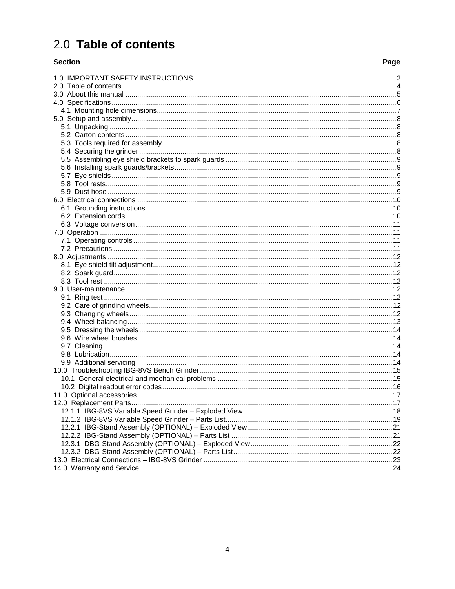# 2.0 Table of contents

#### **Section**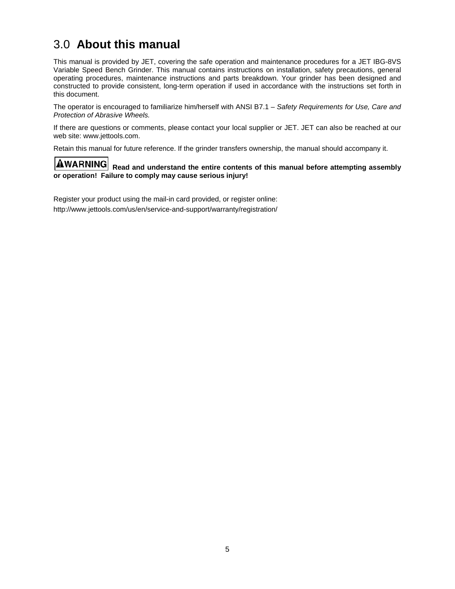## 3.0 **About this manual**

This manual is provided by JET, covering the safe operation and maintenance procedures for a JET IBG-8VS Variable Speed Bench Grinder. This manual contains instructions on installation, safety precautions, general operating procedures, maintenance instructions and parts breakdown. Your grinder has been designed and constructed to provide consistent, long-term operation if used in accordance with the instructions set forth in this document.

The operator is encouraged to familiarize him/herself with ANSI B7.1 – *Safety Requirements for Use, Care and Protection of Abrasive Wheels.*

If there are questions or comments, please contact your local supplier or JET. JET can also be reached at our web site: www.jettools.com.

Retain this manual for future reference. If the grinder transfers ownership, the manual should accompany it.

**AWARNING** Read and understand the entire contents of this manual before attempting assembly **or operation! Failure to comply may cause serious injury!** 

Register your product using the mail-in card provided, or register online: http://www.jettools.com/us/en/service-and-support/warranty/registration/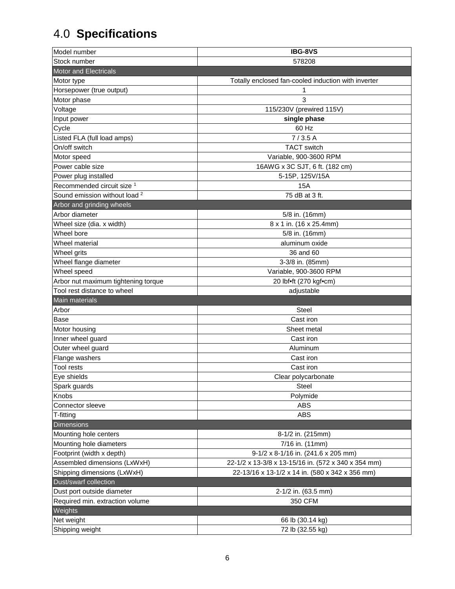# 4.0 **Specifications**

| Model number                             | <b>IBG-8VS</b>                                      |  |  |
|------------------------------------------|-----------------------------------------------------|--|--|
| Stock number                             | 578208                                              |  |  |
| <b>Motor and Electricals</b>             |                                                     |  |  |
| Motor type                               | Totally enclosed fan-cooled induction with inverter |  |  |
| Horsepower (true output)                 | 1                                                   |  |  |
| Motor phase                              | 3                                                   |  |  |
| Voltage                                  | 115/230V (prewired 115V)                            |  |  |
| Input power                              | single phase                                        |  |  |
| Cycle                                    | 60 Hz                                               |  |  |
| Listed FLA (full load amps)              | 7/3.5A                                              |  |  |
| On/off switch                            | <b>TACT</b> switch                                  |  |  |
| Motor speed                              | Variable, 900-3600 RPM                              |  |  |
| Power cable size                         | 16AWG x 3C SJT, 6 ft. (182 cm)                      |  |  |
| Power plug installed                     | 5-15P, 125V/15A                                     |  |  |
| Recommended circuit size <sup>1</sup>    | 15A                                                 |  |  |
| Sound emission without load <sup>2</sup> | 75 dB at 3 ft.                                      |  |  |
| Arbor and grinding wheels                |                                                     |  |  |
| Arbor diameter                           | 5/8 in. (16mm)                                      |  |  |
| Wheel size (dia. x width)                | 8 x 1 in. (16 x 25.4mm)                             |  |  |
| Wheel bore                               | 5/8 in. (16mm)                                      |  |  |
| Wheel material                           | aluminum oxide                                      |  |  |
| Wheel grits                              | 36 and 60                                           |  |  |
| Wheel flange diameter                    | 3-3/8 in. (85mm)                                    |  |  |
| Wheel speed                              | Variable, 900-3600 RPM                              |  |  |
| Arbor nut maximum tightening torque      | 20 lbf•ft (270 kgf•cm)                              |  |  |
| Tool rest distance to wheel              | adjustable                                          |  |  |
|                                          |                                                     |  |  |
| Main materials                           |                                                     |  |  |
| Arbor                                    | Steel                                               |  |  |
| Base                                     | Cast iron                                           |  |  |
| Motor housing                            | Sheet metal                                         |  |  |
| Inner wheel guard                        | Cast iron                                           |  |  |
| Outer wheel guard                        | Aluminum                                            |  |  |
| Flange washers                           | Cast iron                                           |  |  |
| Tool rests                               | Cast iron                                           |  |  |
| Eye shields                              | Clear polycarbonate                                 |  |  |
| Spark guards                             | Steel                                               |  |  |
| <b>Knobs</b>                             | Polymide                                            |  |  |
| Connector sleeve                         | <b>ABS</b>                                          |  |  |
| T-fitting                                | <b>ABS</b>                                          |  |  |
| <b>Dimensions</b>                        |                                                     |  |  |
| Mounting hole centers                    | 8-1/2 in. (215mm)                                   |  |  |
| Mounting hole diameters                  | 7/16 in. (11mm)                                     |  |  |
| Footprint (width x depth)                | 9-1/2 x 8-1/16 in. (241.6 x 205 mm)                 |  |  |
| Assembled dimensions (LxWxH)             | 22-1/2 x 13-3/8 x 13-15/16 in. (572 x 340 x 354 mm) |  |  |
| Shipping dimensions (LxWxH)              | 22-13/16 x 13-1/2 x 14 in. (580 x 342 x 356 mm)     |  |  |
| Dust/swarf collection                    |                                                     |  |  |
| Dust port outside diameter               | 2-1/2 in. (63.5 mm)                                 |  |  |
| Required min. extraction volume          | 350 CFM                                             |  |  |
| Weights                                  |                                                     |  |  |
| Net weight<br>Shipping weight            | 66 lb (30.14 kg)<br>72 lb (32.55 kg)                |  |  |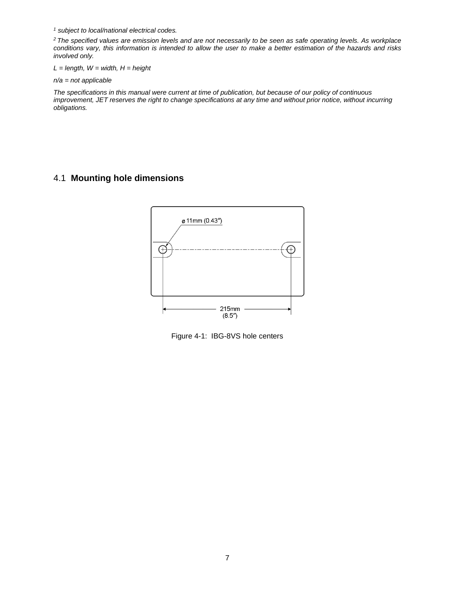*1 subject to local/national electrical codes.* 

*2 The specified values are emission levels and are not necessarily to be seen as safe operating levels. As workplace conditions vary, this information is intended to allow the user to make a better estimation of the hazards and risks involved only.* 

*L = length, W = width, H = height* 

*n/a = not applicable* 

*The specifications in this manual were current at time of publication, but because of our policy of continuous improvement, JET reserves the right to change specifications at any time and without prior notice, without incurring obligations.* 

## 4.1 **Mounting hole dimensions**



Figure 4-1: IBG-8VS hole centers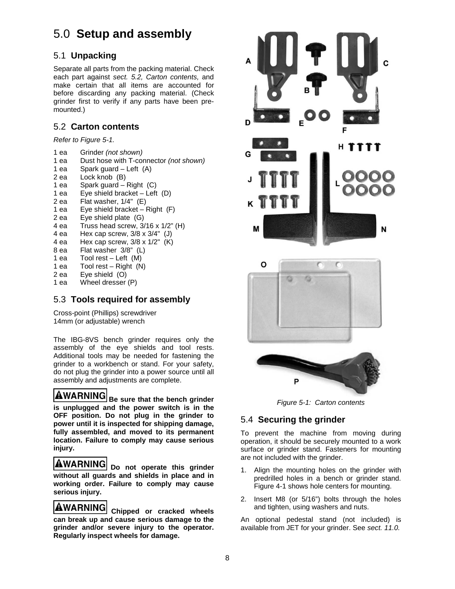# 5.0 **Setup and assembly**

## 5.1 **Unpacking**

Separate all parts from the packing material. Check each part against *sect. 5.2, Carton contents,* and make certain that all items are accounted for before discarding any packing material. (Check grinder first to verify if any parts have been premounted.)

### 5.2 **Carton contents**

*Refer to Figure 5-1.* 

- 1 ea Grinder *(not shown)*
- 1 ea Dust hose with T-connector *(not shown)*
- 1 ea Spark guard Left (A)
- 2 ea Lock knob (B)
- 1 ea Spark guard Right (C)
- 1 ea Eye shield bracket Left (D)
- 2 ea Flat washer, 1/4" (E)
- 1 ea Eye shield bracket Right (F)
- 2 ea Eye shield plate (G)
- 4 ea Truss head screw, 3/16 x 1/2" (H)
- 4 ea Hex cap screw, 3/8 x 3/4" (J)
- 4 ea Hex cap screw, 3/8 x 1/2" (K)
- 8 ea Flat washer 3/8" (L)
- 1 ea Tool rest Left (M)
- 1 ea Tool rest Right (N)
- 2 ea Eye shield (O)
- 1 ea Wheel dresser (P)

## 5.3 **Tools required for assembly**

Cross-point (Phillips) screwdriver 14mm (or adjustable) wrench

The IBG-8VS bench grinder requires only the assembly of the eye shields and tool rests. Additional tools may be needed for fastening the grinder to a workbench or stand. For your safety, do not plug the grinder into a power source until all assembly and adjustments are complete.

**AWARNING** Be sure that the bench grinder **is unplugged and the power switch is in the OFF position. Do not plug in the grinder to power until it is inspected for shipping damage, fully assembled, and moved to its permanent location. Failure to comply may cause serious injury.**

**AWARNING** Do not operate this grinder **without all guards and shields in place and in working order. Failure to comply may cause serious injury.** 

**AWARNING** Chipped or cracked wheels **can break up and cause serious damage to the grinder and/or severe injury to the operator. Regularly inspect wheels for damage.** 



*Figure 5-1: Carton contents* 

## 5.4 **Securing the grinder**

To prevent the machine from moving during operation, it should be securely mounted to a work surface or grinder stand. Fasteners for mounting are not included with the grinder.

- 1. Align the mounting holes on the grinder with predrilled holes in a bench or grinder stand. Figure 4-1 shows hole centers for mounting.
- 2. Insert M8 (or 5/16") bolts through the holes and tighten, using washers and nuts.

An optional pedestal stand (not included) is available from JET for your grinder. See *sect. 11.0.*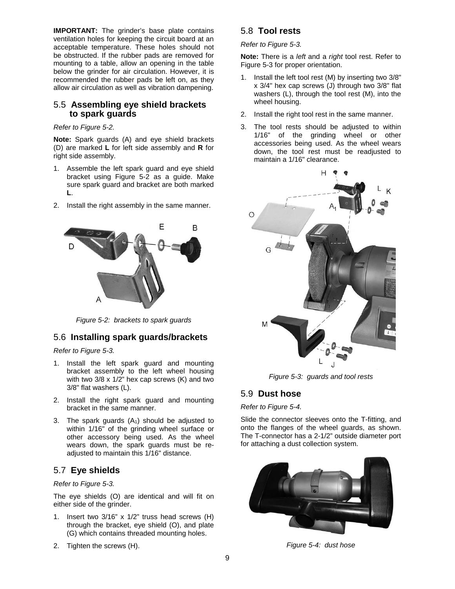**IMPORTANT:** The grinder's base plate contains ventilation holes for keeping the circuit board at an acceptable temperature. These holes should not be obstructed. If the rubber pads are removed for mounting to a table, allow an opening in the table below the grinder for air circulation. However, it is recommended the rubber pads be left on, as they allow air circulation as well as vibration dampening.

#### 5.5 **Assembling eye shield brackets to spark guards**

#### *Refer to Figure 5-2.*

**Note:** Spark guards (A) and eye shield brackets (D) are marked **L** for left side assembly and **R** for right side assembly.

- 1. Assemble the left spark guard and eye shield bracket using Figure 5-2 as a guide. Make sure spark guard and bracket are both marked **L**.
- 2. Install the right assembly in the same manner.



*Figure 5-2: brackets to spark guards* 

#### 5.6 **Installing spark guards/brackets**

*Refer to Figure 5-3.* 

- 1. Install the left spark guard and mounting bracket assembly to the left wheel housing with two 3/8 x 1/2" hex cap screws (K) and two 3/8" flat washers (L).
- 2. Install the right spark guard and mounting bracket in the same manner.
- 3. The spark guards  $(A<sub>1</sub>)$  should be adjusted to within 1/16" of the grinding wheel surface or other accessory being used. As the wheel wears down, the spark guards must be readjusted to maintain this 1/16" distance.

#### 5.7 **Eye shields**

*Refer to Figure 5-3.* 

The eye shields (O) are identical and will fit on either side of the grinder.

- 1. Insert two 3/16" x 1/2" truss head screws (H) through the bracket, eye shield (O), and plate (G) which contains threaded mounting holes.
- 2. Tighten the screws (H).

## 5.8 **Tool rests**

*Refer to Figure 5-3.* 

**Note:** There is a *left* and a *right* tool rest. Refer to Figure 5-3 for proper orientation.

- 1. Install the left tool rest (M) by inserting two 3/8" x 3/4" hex cap screws (J) through two 3/8" flat washers (L), through the tool rest (M), into the wheel housing.
- 2. Install the right tool rest in the same manner.
- 3. The tool rests should be adjusted to within 1/16" of the grinding wheel or other accessories being used. As the wheel wears down, the tool rest must be readjusted to maintain a 1/16" clearance.



*Figure 5-3: guards and tool rests* 

#### 5.9 **Dust hose**

#### *Refer to Figure 5-4.*

Slide the connector sleeves onto the T-fitting, and onto the flanges of the wheel guards, as shown. The T-connector has a 2-1/2" outside diameter port for attaching a dust collection system.



*Figure 5-4: dust hose*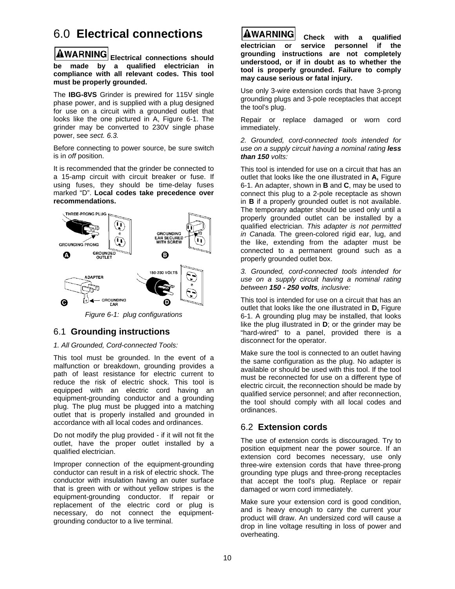# 6.0 **Electrical connections**

**AWARNING** Electrical connections should **be made by a qualified electrician in compliance with all relevant codes. This tool must be properly grounded.** 

The **IBG-8VS** Grinder is prewired for 115V single phase power, and is supplied with a plug designed for use on a circuit with a grounded outlet that looks like the one pictured in A, Figure 6-1. The grinder may be converted to 230V single phase power, see *sect. 6.3.* 

Before connecting to power source, be sure switch is in *off* position.

It is recommended that the grinder be connected to a 15-amp circuit with circuit breaker or fuse. If using fuses, they should be time-delay fuses marked "D". **Local codes take precedence over recommendations.** 



*Figure 6-1: plug configurations* 

### 6.1 **Grounding instructions**

#### *1. All Grounded, Cord-connected Tools:*

This tool must be grounded. In the event of a malfunction or breakdown, grounding provides a path of least resistance for electric current to reduce the risk of electric shock. This tool is equipped with an electric cord having an equipment-grounding conductor and a grounding plug. The plug must be plugged into a matching outlet that is properly installed and grounded in accordance with all local codes and ordinances.

Do not modify the plug provided - if it will not fit the outlet, have the proper outlet installed by a qualified electrician.

Improper connection of the equipment-grounding conductor can result in a risk of electric shock. The conductor with insulation having an outer surface that is green with or without yellow stripes is the equipment-grounding conductor. If repair or replacement of the electric cord or plug is necessary, do not connect the equipmentgrounding conductor to a live terminal.



 **Check with a qualified electrician or service pe**r**sonnel if the grounding instructions are not completely understood, or if in doubt as to whether the tool is properly grounded. Failure to comply may cause serious or fatal injury.**

Use only 3-wire extension cords that have 3-prong grounding plugs and 3-pole receptacles that accept the tool's plug.

Repair or replace damaged or worn cord immediately.

*2. Grounded, cord-connected tools intended for use on a supply circuit having a nominal rating less than 150 volts:* 

This tool is intended for use on a circuit that has an outlet that looks like the one illustrated in **A,** Figure 6-1. An adapter, shown in **B** and **C**, may be used to connect this plug to a 2-pole receptacle as shown in **B** if a properly grounded outlet is not available. The temporary adapter should be used only until a properly grounded outlet can be installed by a qualified electrician. *This adapter is not permitted in Canada.* The green-colored rigid ear, lug, and the like, extending from the adapter must be connected to a permanent ground such as a properly grounded outlet box.

*3. Grounded, cord-connected tools intended for use on a supply circuit having a nominal rating between 150 - 250 volts, inclusive:* 

This tool is intended for use on a circuit that has an outlet that looks like the one illustrated in **D,** Figure 6-1. A grounding plug may be installed, that looks like the plug illustrated in **D**; or the grinder may be "hard-wired" to a panel, provided there is a disconnect for the operator.

Make sure the tool is connected to an outlet having the same configuration as the plug. No adapter is available or should be used with this tool. If the tool must be reconnected for use on a different type of electric circuit, the reconnection should be made by qualified service personnel; and after reconnection, the tool should comply with all local codes and ordinances.

### 6.2 **Extension cords**

The use of extension cords is discouraged. Try to position equipment near the power source. If an extension cord becomes necessary, use only three-wire extension cords that have three-prong grounding type plugs and three-prong receptacles that accept the tool's plug. Replace or repair damaged or worn cord immediately.

Make sure your extension cord is good condition, and is heavy enough to carry the current your product will draw. An undersized cord will cause a drop in line voltage resulting in loss of power and overheating.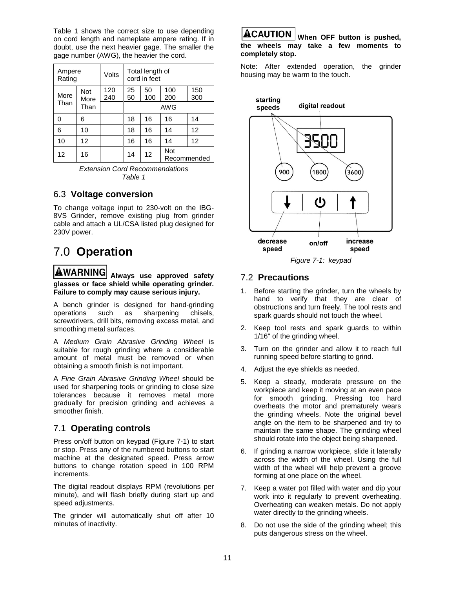Table 1 shows the correct size to use depending on cord length and nameplate ampere rating. If in doubt, use the next heavier gage. The smaller the gage number (AWG), the heavier the cord.

| Ampere<br>Rating |                   | <b>Volts</b> |          | Total length of<br>cord in feet |            |             |
|------------------|-------------------|--------------|----------|---------------------------------|------------|-------------|
| More             | Not<br>More       | 120<br>240   | 25<br>50 | 50<br>100                       | 100<br>200 | 150<br>300  |
| Than             | Than              |              | AWG      |                                 |            |             |
| ი                | 6                 |              | 18       | 16                              | 16         | 14          |
| 6                | 10                |              | 18       | 16                              | 14         | 12          |
| 10               | $12 \overline{ }$ |              | 16       | 16                              | 14         | 12          |
| 12               | 16                |              | 14       | 12                              | <b>Not</b> | Recommended |



#### 6.3 **Voltage conversion**

To change voltage input to 230-volt on the IBG-8VS Grinder, remove existing plug from grinder cable and attach a UL/CSA listed plug designed for 230V power.

# 7.0 **Operation**

 **Always use approved safety glasses or face shield while operating grinder. Failure to comply may cause serious injury.** 

A bench grinder is designed for hand-grinding operations such as sharpening chisels, screwdrivers, drill bits, removing excess metal, and smoothing metal surfaces.

A *Medium Grain Abrasive Grinding Wheel* is suitable for rough grinding where a considerable amount of metal must be removed or when obtaining a smooth finish is not important.

A *Fine Grain Abrasive Grinding Wheel* should be used for sharpening tools or grinding to close size tolerances because it removes metal more gradually for precision grinding and achieves a smoother finish.

## 7.1 **Operating controls**

Press on/off button on keypad (Figure 7-1) to start or stop. Press any of the numbered buttons to start machine at the designated speed. Press arrow buttons to change rotation speed in 100 RPM increments.

The digital readout displays RPM (revolutions per minute), and will flash briefly during start up and speed adjustments.

The grinder will automatically shut off after 10 minutes of inactivity.

## ACAUTION

**When OFF button is pushed, the wheels may take a few moments to completely stop.** 

Note: After extended operation, the grinder housing may be warm to the touch.



*Figure 7-1: keypad* 

## 7.2 **Precautions**

- 1. Before starting the grinder, turn the wheels by hand to verify that they are clear of obstructions and turn freely. The tool rests and spark guards should not touch the wheel.
- 2. Keep tool rests and spark guards to within 1/16" of the grinding wheel.
- 3. Turn on the grinder and allow it to reach full running speed before starting to grind.
- 4. Adjust the eye shields as needed.
- 5. Keep a steady, moderate pressure on the workpiece and keep it moving at an even pace for smooth grinding. Pressing too hard overheats the motor and prematurely wears the grinding wheels. Note the original bevel angle on the item to be sharpened and try to maintain the same shape. The grinding wheel should rotate into the object being sharpened.
- 6. If grinding a narrow workpiece, slide it laterally across the width of the wheel. Using the full width of the wheel will help prevent a groove forming at one place on the wheel.
- 7. Keep a water pot filled with water and dip your work into it regularly to prevent overheating. Overheating can weaken metals. Do not apply water directly to the grinding wheels.
- 8. Do not use the side of the grinding wheel; this puts dangerous stress on the wheel.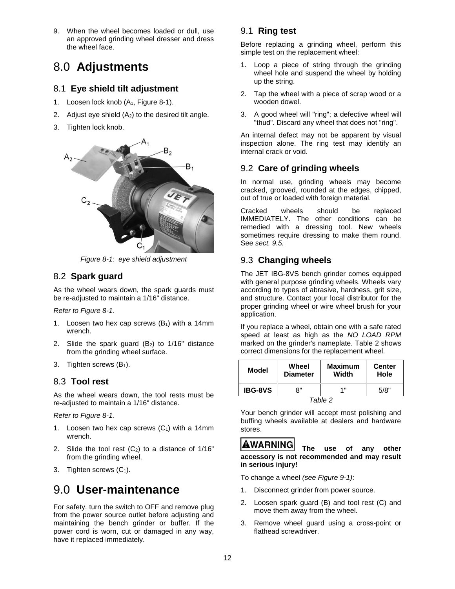9. When the wheel becomes loaded or dull, use an approved grinding wheel dresser and dress the wheel face.

# 8.0 **Adjustments**

### 8.1 **Eye shield tilt adjustment**

- 1. Loosen lock knob (A<sub>1</sub>, Figure 8-1).
- 2. Adjust eye shield  $(A<sub>2</sub>)$  to the desired tilt angle.
- 3. Tighten lock knob.



*Figure 8-1: eye shield adjustment* 

### 8.2 **Spark guard**

As the wheel wears down, the spark guards must be re-adjusted to maintain a 1/16" distance.

*Refer to Figure 8-1.* 

- 1. Loosen two hex cap screws  $(B_1)$  with a 14mm wrench.
- 2. Slide the spark guard  $(B_2)$  to  $1/16$ " distance from the grinding wheel surface.
- 3. Tighten screws (B<sub>1</sub>).

#### 8.3 **Tool rest**

As the wheel wears down, the tool rests must be re-adjusted to maintain a 1/16" distance.

*Refer to Figure 8-1.* 

- 1. Loosen two hex cap screws  $(C_1)$  with a 14mm wrench.
- 2. Slide the tool rest  $(C_2)$  to a distance of  $1/16"$ from the grinding wheel.
- 3. Tighten screws  $(C_1)$ .

## 9.0 **User-maintenance**

For safety, turn the switch to OFF and remove plug from the power source outlet before adjusting and maintaining the bench grinder or buffer. If the power cord is worn, cut or damaged in any way, have it replaced immediately.

## 9.1 **Ring test**

Before replacing a grinding wheel, perform this simple test on the replacement wheel:

- 1. Loop a piece of string through the grinding wheel hole and suspend the wheel by holding up the string.
- 2. Tap the wheel with a piece of scrap wood or a wooden dowel.
- 3. A good wheel will "ring"; a defective wheel will "thud". Discard any wheel that does not "ring".

An internal defect may not be apparent by visual inspection alone. The ring test may identify an internal crack or void.

### 9.2 **Care of grinding wheels**

In normal use, grinding wheels may become cracked, grooved, rounded at the edges, chipped, out of true or loaded with foreign material.

Cracked wheels should be replaced IMMEDIATELY. The other conditions can be remedied with a dressing tool. New wheels sometimes require dressing to make them round. See *sect. 9.5.*

## 9.3 **Changing wheels**

The JET IBG-8VS bench grinder comes equipped with general purpose grinding wheels. Wheels vary according to types of abrasive, hardness, grit size, and structure. Contact your local distributor for the proper grinding wheel or wire wheel brush for your application.

If you replace a wheel, obtain one with a safe rated speed at least as high as the *NO LOAD RPM*  marked on the grinder's nameplate. Table 2 shows correct dimensions for the replacement wheel.

| Model          | Wheel<br><b>Diameter</b> | <b>Maximum</b><br>Width | <b>Center</b><br>Hole |
|----------------|--------------------------|-------------------------|-----------------------|
| <b>IBG-8VS</b> | יא                       | 1 "                     | 5/8"                  |
| Table 2        |                          |                         |                       |

Your bench grinder will accept most polishing and buffing wheels available at dealers and hardware stores.

#### AWARNING  **The use of any other accessory is not recommended and may result in serious injury!**

To change a wheel *(see Figure 9-1)*:

- 1. Disconnect grinder from power source.
- 2. Loosen spark guard (B) and tool rest (C) and move them away from the wheel.
- 3. Remove wheel guard using a cross-point or flathead screwdriver.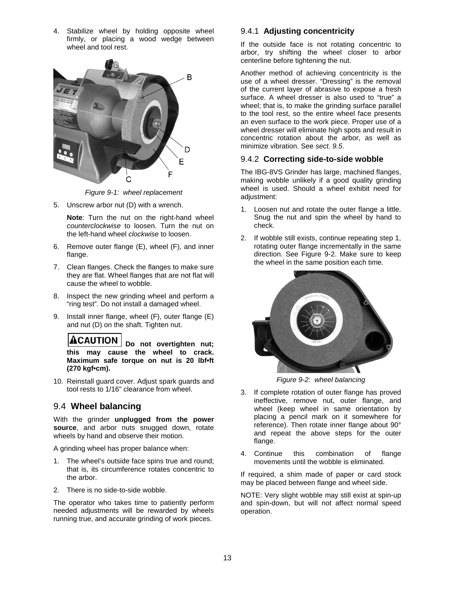4. Stabilize wheel by holding opposite wheel firmly, or placing a wood wedge between wheel and tool rest.



*Figure 9-1: wheel replacement* 

5. Unscrew arbor nut (D) with a wrench.

**Note**: Turn the nut on the right-hand wheel *counterclockwise* to loosen. Turn the nut on the left-hand wheel *clockwise* to loosen.

- 6. Remove outer flange (E), wheel (F), and inner flange.
- 7. Clean flanges. Check the flanges to make sure they are flat. Wheel flanges that are not flat will cause the wheel to wobble.
- 8. Inspect the new grinding wheel and perform a "ring test". Do not install a damaged wheel.
- 9. Install inner flange, wheel (F), outer flange (E) and nut (D) on the shaft. Tighten nut.

**ACAUTION Do not overtighten nut; this may cause the wheel to crack. Maximum safe torque on nut is 20 lbf•ft (270 kgf•cm).**

10. Reinstall guard cover. Adjust spark guards and tool rests to 1/16" clearance from wheel.

### 9.4 **Wheel balancing**

With the grinder **unplugged from the power source**, and arbor nuts snugged down, rotate wheels by hand and observe their motion.

A grinding wheel has proper balance when:

- 1. The wheel's outside face spins true and round; that is, its circumference rotates concentric to the arbor.
- 2. There is no side-to-side wobble.

The operator who takes time to patiently perform needed adjustments will be rewarded by wheels running true, and accurate grinding of work pieces.

#### 9.4.1 **Adjusting concentricity**

If the outside face is not rotating concentric to arbor, try shifting the wheel closer to arbor centerline before tightening the nut.

Another method of achieving concentricity is the use of a wheel dresser. "Dressing" is the removal of the current layer of abrasive to expose a fresh surface. A wheel dresser is also used to "true" a wheel; that is, to make the grinding surface parallel to the tool rest, so the entire wheel face presents an even surface to the work piece. Proper use of a wheel dresser will eliminate high spots and result in concentric rotation about the arbor, as well as minimize vibration. See *sect. 9.5*.

#### 9.4.2 **Correcting side-to-side wobble**

The IBG-8VS Grinder has large, machined flanges, making wobble unlikely if a good quality grinding wheel is used. Should a wheel exhibit need for adjustment:

- 1. Loosen nut and rotate the outer flange a little. Snug the nut and spin the wheel by hand to check.
- 2. If wobble still exists, continue repeating step 1, rotating outer flange incrementally in the same direction. See Figure 9-2. Make sure to keep the wheel in the same position each time.



*Figure 9-2: wheel balancing* 

- 3. If complete rotation of outer flange has proved ineffective, remove nut, outer flange, and wheel (keep wheel in same orientation by placing a pencil mark on it somewhere for reference). Then rotate inner flange about 90° and repeat the above steps for the outer flange.
- 4. Continue this combination of flange movements until the wobble is eliminated.

If required, a shim made of paper or card stock may be placed between flange and wheel side.

NOTE: Very slight wobble may still exist at spin-up and spin-down, but will not affect normal speed operation.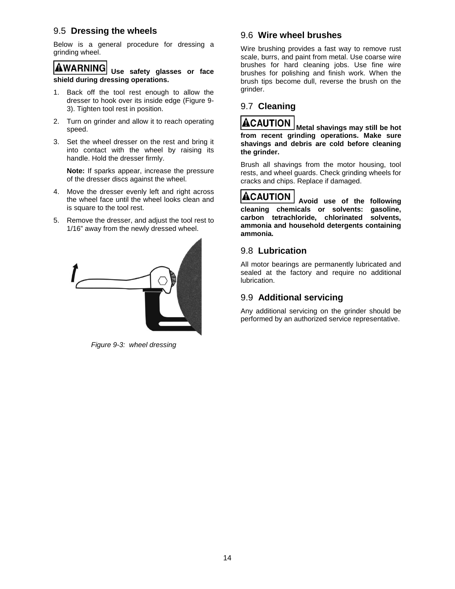### 9.5 **Dressing the wheels**

Below is a general procedure for dressing a grinding wheel.

## **AWARNING**

**Use safety glasses or face shield during dressing operations.**

- 1. Back off the tool rest enough to allow the dresser to hook over its inside edge (Figure 9- 3). Tighten tool rest in position.
- 2. Turn on grinder and allow it to reach operating speed.
- 3. Set the wheel dresser on the rest and bring it into contact with the wheel by raising its handle. Hold the dresser firmly.

**Note:** If sparks appear, increase the pressure of the dresser discs against the wheel.

- 4. Move the dresser evenly left and right across the wheel face until the wheel looks clean and is square to the tool rest.
- 5. Remove the dresser, and adjust the tool rest to 1/16" away from the newly dressed wheel.



*Figure 9-3: wheel dressing*

#### 9.6 **Wire wheel brushes**

Wire brushing provides a fast way to remove rust scale, burrs, and paint from metal. Use coarse wire brushes for hard cleaning jobs. Use fine wire brushes for polishing and finish work. When the brush tips become dull, reverse the brush on the grinder.

## 9.7 **Cleaning**

## **ACAUTION**

**Metal shavings may still be hot from recent grinding operations. Make sure shavings and debris are cold before cleaning the grinder.** 

Brush all shavings from the motor housing, tool rests, and wheel guards. Check grinding wheels for cracks and chips. Replace if damaged.

## **ACAUTION**

**Avoid use of the following cleaning chemicals or solvents: gasoline, carbon tetrachloride, chlorinated solvents, ammonia and household detergents containing ammonia.** 

#### 9.8 **Lubrication**

All motor bearings are permanently lubricated and sealed at the factory and require no additional lubrication.

### 9.9 **Additional servicing**

Any additional servicing on the grinder should be performed by an authorized service representative.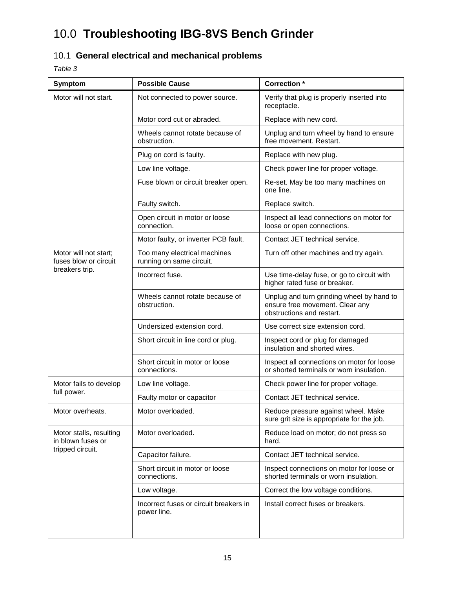# 10.0 **Troubleshooting IBG-8VS Bench Grinder**

## 10.1 **General electrical and mechanical problems**

*Table 3* 

| Symptom                                         | <b>Possible Cause</b>                                    | <b>Correction</b> *                                                                                       |  |
|-------------------------------------------------|----------------------------------------------------------|-----------------------------------------------------------------------------------------------------------|--|
| Motor will not start.                           | Not connected to power source.                           | Verify that plug is properly inserted into<br>receptacle.                                                 |  |
|                                                 | Motor cord cut or abraded.                               | Replace with new cord.                                                                                    |  |
|                                                 | Wheels cannot rotate because of<br>obstruction.          | Unplug and turn wheel by hand to ensure<br>free movement. Restart.                                        |  |
|                                                 | Plug on cord is faulty.                                  | Replace with new plug.                                                                                    |  |
|                                                 | Low line voltage.                                        | Check power line for proper voltage.                                                                      |  |
|                                                 | Fuse blown or circuit breaker open.                      | Re-set. May be too many machines on<br>one line.                                                          |  |
|                                                 | Faulty switch.                                           | Replace switch.                                                                                           |  |
|                                                 | Open circuit in motor or loose<br>connection.            | Inspect all lead connections on motor for<br>loose or open connections.                                   |  |
|                                                 | Motor faulty, or inverter PCB fault.                     | Contact JET technical service.                                                                            |  |
| Motor will not start;<br>fuses blow or circuit  | Too many electrical machines<br>running on same circuit. | Turn off other machines and try again.                                                                    |  |
| breakers trip.<br>Incorrect fuse.               |                                                          | Use time-delay fuse, or go to circuit with<br>higher rated fuse or breaker.                               |  |
|                                                 | Wheels cannot rotate because of<br>obstruction.          | Unplug and turn grinding wheel by hand to<br>ensure free movement. Clear any<br>obstructions and restart. |  |
|                                                 | Undersized extension cord.                               | Use correct size extension cord.                                                                          |  |
|                                                 | Short circuit in line cord or plug.                      | Inspect cord or plug for damaged<br>insulation and shorted wires.                                         |  |
| Short circuit in motor or loose<br>connections. |                                                          | Inspect all connections on motor for loose<br>or shorted terminals or worn insulation.                    |  |
| Motor fails to develop                          | Low line voltage.                                        | Check power line for proper voltage.                                                                      |  |
| full power.                                     | Faulty motor or capacitor                                | Contact JET technical service.                                                                            |  |
| Motor overheats.                                | Motor overloaded.                                        | Reduce pressure against wheel. Make<br>sure grit size is appropriate for the job.                         |  |
| Motor stalls, resulting<br>in blown fuses or    | Motor overloaded.                                        | Reduce load on motor; do not press so<br>hard.                                                            |  |
| tripped circuit.                                | Capacitor failure.                                       | Contact JET technical service.                                                                            |  |
|                                                 | Short circuit in motor or loose<br>connections.          | Inspect connections on motor for loose or<br>shorted terminals or worn insulation.                        |  |
|                                                 | Low voltage.                                             | Correct the low voltage conditions.                                                                       |  |
|                                                 | Incorrect fuses or circuit breakers in<br>power line.    | Install correct fuses or breakers.                                                                        |  |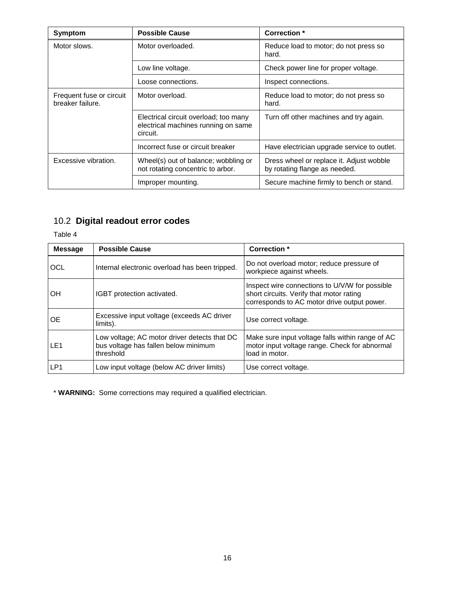| Symptom                                      | <b>Possible Cause</b>                                                                    | Correction *                                                              |  |
|----------------------------------------------|------------------------------------------------------------------------------------------|---------------------------------------------------------------------------|--|
| Motor slows.                                 | Motor overloaded.                                                                        | Reduce load to motor; do not press so<br>hard.                            |  |
|                                              | Low line voltage.                                                                        | Check power line for proper voltage.                                      |  |
|                                              | Loose connections.                                                                       | Inspect connections.                                                      |  |
| Frequent fuse or circuit<br>breaker failure. | Motor overload.                                                                          | Reduce load to motor; do not press so<br>hard.                            |  |
|                                              | Electrical circuit overload; too many<br>electrical machines running on same<br>circuit. | Turn off other machines and try again.                                    |  |
|                                              | Incorrect fuse or circuit breaker                                                        | Have electrician upgrade service to outlet.                               |  |
| Excessive vibration.                         | Wheel(s) out of balance; wobbling or<br>not rotating concentric to arbor.                | Dress wheel or replace it. Adjust wobble<br>by rotating flange as needed. |  |
|                                              | Improper mounting.                                                                       | Secure machine firmly to bench or stand.                                  |  |

## 10.2 **Digital readout error codes**

Table 4

| <b>Message</b>  | <b>Possible Cause</b>                                                                             | Correction *                                                                                                                              |
|-----------------|---------------------------------------------------------------------------------------------------|-------------------------------------------------------------------------------------------------------------------------------------------|
| OCL             | Internal electronic overload has been tripped.                                                    | Do not overload motor; reduce pressure of<br>workpiece against wheels.                                                                    |
| OH              | IGBT protection activated.                                                                        | Inspect wire connections to U/V/W for possible<br>short circuits. Verify that motor rating<br>corresponds to AC motor drive output power. |
| <b>OE</b>       | Excessive input voltage (exceeds AC driver<br>limits).                                            | Use correct voltage.                                                                                                                      |
| LE <sub>1</sub> | Low voltage; AC motor driver detects that DC<br>bus voltage has fallen below minimum<br>threshold | Make sure input voltage falls within range of AC<br>motor input voltage range. Check for abnormal<br>load in motor.                       |
| LP1             | Low input voltage (below AC driver limits)                                                        | Use correct voltage.                                                                                                                      |

\* **WARNING:** Some corrections may required a qualified electrician.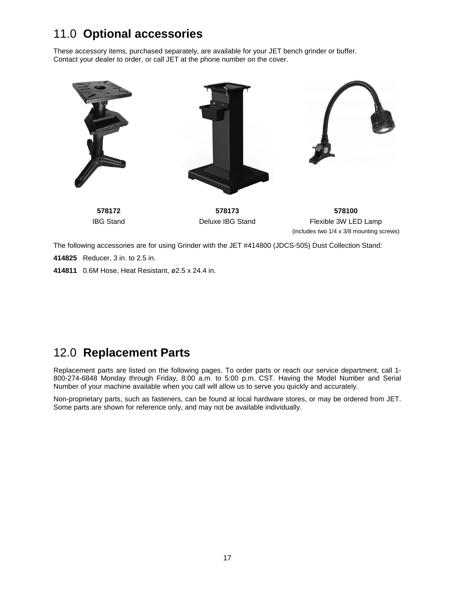# 11.0 **Optional accessories**

These accessory items, purchased separately, are available for your JET bench grinder or buffer. Contact your dealer to order, or call JET at the phone number on the cover.



The following accessories are for using Grinder with the JET #414800 (JDCS-505) Dust Collection Stand:

**414825** Reducer, 3 in. to 2.5 in.

**414811** 0.6M Hose, Heat Resistant, ø2.5 x 24.4 in.

# 12.0 **Replacement Parts**

Replacement parts are listed on the following pages. To order parts or reach our service department, call 1- 800-274-6848 Monday through Friday, 8:00 a.m. to 5:00 p.m. CST. Having the Model Number and Serial Number of your machine available when you call will allow us to serve you quickly and accurately.

Non-proprietary parts, such as fasteners, can be found at local hardware stores, or may be ordered from JET. Some parts are shown for reference only, and may not be available individually.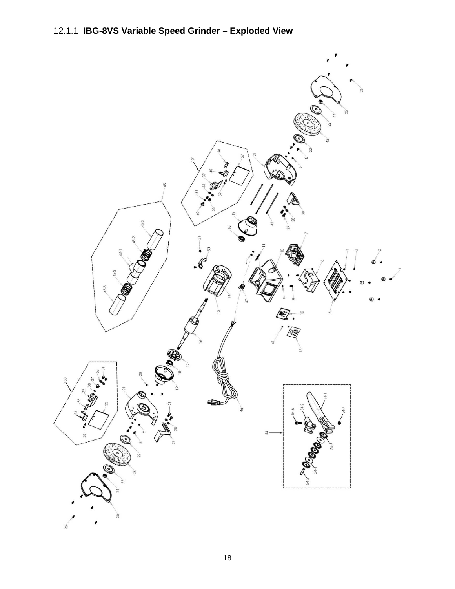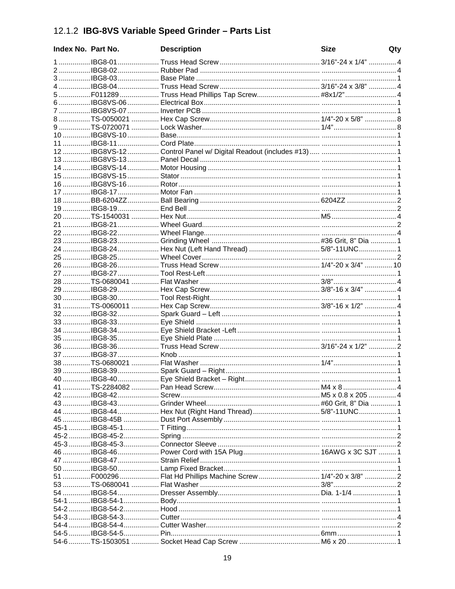# 12.1.2 IBG-8VS Variable Speed Grinder - Parts List

| Index No. Part No. | <b>Description</b>                                            | <b>Size</b> | Qty |
|--------------------|---------------------------------------------------------------|-------------|-----|
|                    |                                                               |             |     |
|                    |                                                               |             |     |
|                    |                                                               |             |     |
|                    |                                                               |             |     |
|                    | 5  F011289  Truss Head Phillips Tap Screw#8x1/2"  4           |             |     |
|                    |                                                               |             |     |
|                    |                                                               |             |     |
|                    |                                                               |             |     |
|                    |                                                               |             |     |
|                    |                                                               |             |     |
|                    |                                                               |             |     |
|                    |                                                               |             |     |
|                    |                                                               |             |     |
|                    |                                                               |             |     |
|                    |                                                               |             |     |
|                    |                                                               |             |     |
|                    |                                                               |             |     |
|                    |                                                               |             |     |
|                    |                                                               |             |     |
|                    |                                                               |             |     |
|                    |                                                               |             |     |
|                    |                                                               |             |     |
|                    |                                                               |             |     |
|                    |                                                               |             |     |
|                    |                                                               |             |     |
|                    |                                                               |             |     |
|                    |                                                               |             |     |
|                    |                                                               |             |     |
|                    |                                                               |             |     |
|                    |                                                               |             |     |
|                    |                                                               |             |     |
|                    |                                                               |             |     |
|                    |                                                               |             |     |
|                    |                                                               |             |     |
|                    |                                                               |             |     |
|                    |                                                               |             |     |
|                    |                                                               |             |     |
|                    |                                                               |             |     |
|                    |                                                               |             |     |
|                    |                                                               |             |     |
|                    |                                                               |             |     |
|                    |                                                               |             |     |
|                    | 44 IBG8-44  Hex Nut (Right Hand Thread)  5/8"-11UNC  1        |             |     |
|                    |                                                               |             |     |
|                    |                                                               |             |     |
|                    |                                                               |             |     |
|                    |                                                               |             |     |
|                    |                                                               |             |     |
|                    |                                                               |             |     |
|                    | 51 F000296  Flat Hd Phillips Machine Screw  1/4"-20 x 3/8"  2 |             |     |
|                    |                                                               |             |     |
|                    |                                                               |             |     |
|                    |                                                               |             |     |
|                    |                                                               |             |     |
|                    |                                                               |             |     |
|                    |                                                               |             |     |
|                    |                                                               |             |     |
|                    |                                                               |             |     |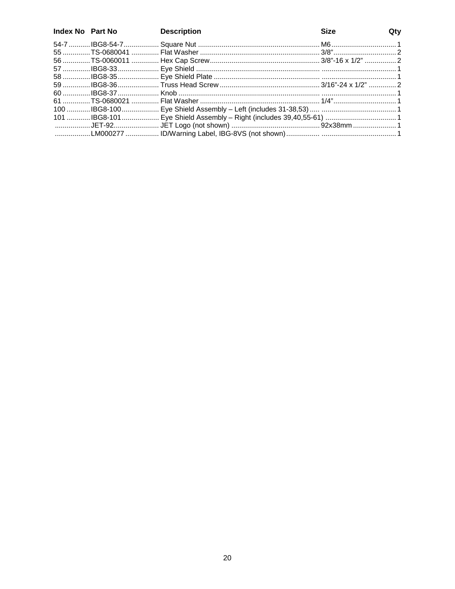| Index No Part No | <b>Description</b> | <b>Size</b> | Qty |
|------------------|--------------------|-------------|-----|
|                  |                    |             |     |
|                  |                    |             |     |
|                  |                    |             |     |
|                  |                    |             |     |
|                  |                    |             |     |
|                  |                    |             |     |
|                  |                    |             |     |
|                  |                    |             |     |
|                  |                    |             |     |
|                  |                    |             |     |
|                  |                    |             |     |
|                  |                    |             |     |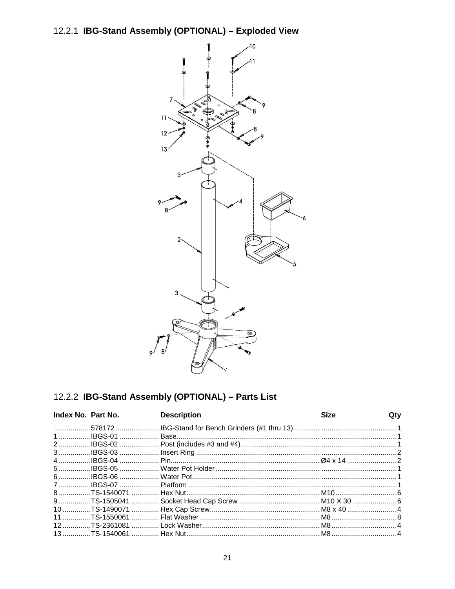# 12.2.1 IBG-Stand Assembly (OPTIONAL) - Exploded View



## 12.2.2 IBG-Stand Assembly (OPTIONAL) - Parts List

| Index No. Part No. | <b>Description</b>                                                       | <b>Size</b> | Qty |
|--------------------|--------------------------------------------------------------------------|-------------|-----|
|                    |                                                                          |             |     |
|                    |                                                                          |             |     |
|                    |                                                                          |             |     |
|                    |                                                                          |             |     |
|                    |                                                                          |             |     |
|                    |                                                                          |             |     |
|                    |                                                                          |             |     |
|                    |                                                                          |             |     |
|                    |                                                                          |             |     |
|                    | 9 TS-1505041  Socket Head Cap Screw  M10 X 30  6                         |             |     |
|                    |                                                                          |             |     |
|                    |                                                                          |             |     |
|                    |                                                                          |             |     |
|                    | 13 …………… TS-1540061 …………… Hex Nut………………………………………………………… M8……………………………… 4 |             |     |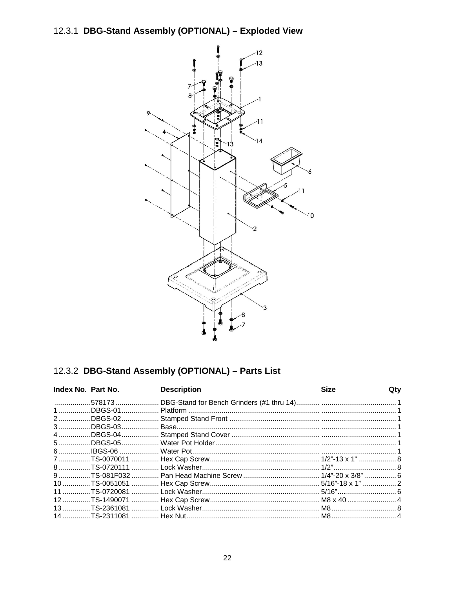# 12.3.1 DBG-Stand Assembly (OPTIONAL) - Exploded View



## 12.3.2 DBG-Stand Assembly (OPTIONAL) - Parts List

| Index No. Part No. | <b>Description</b> | <b>Size</b> | Qty |
|--------------------|--------------------|-------------|-----|
|                    |                    |             |     |
|                    |                    |             |     |
|                    |                    |             |     |
|                    |                    |             |     |
|                    |                    |             |     |
|                    |                    |             |     |
|                    |                    |             |     |
|                    |                    |             |     |
|                    |                    |             |     |
|                    |                    |             |     |
|                    |                    |             |     |
|                    |                    |             |     |
|                    |                    |             |     |
|                    |                    |             |     |
|                    |                    |             |     |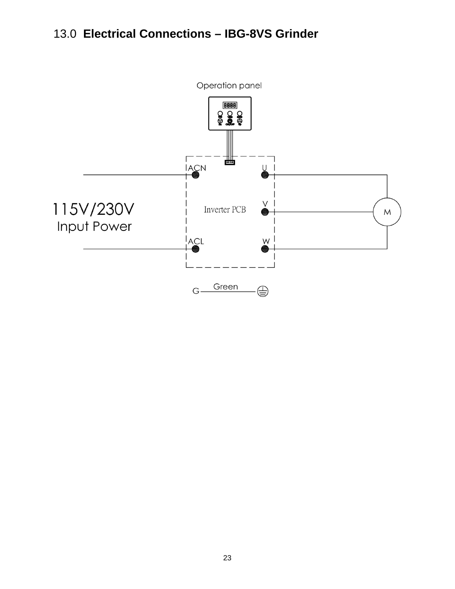# 13.0 Electrical Connections - IBG-8VS Grinder